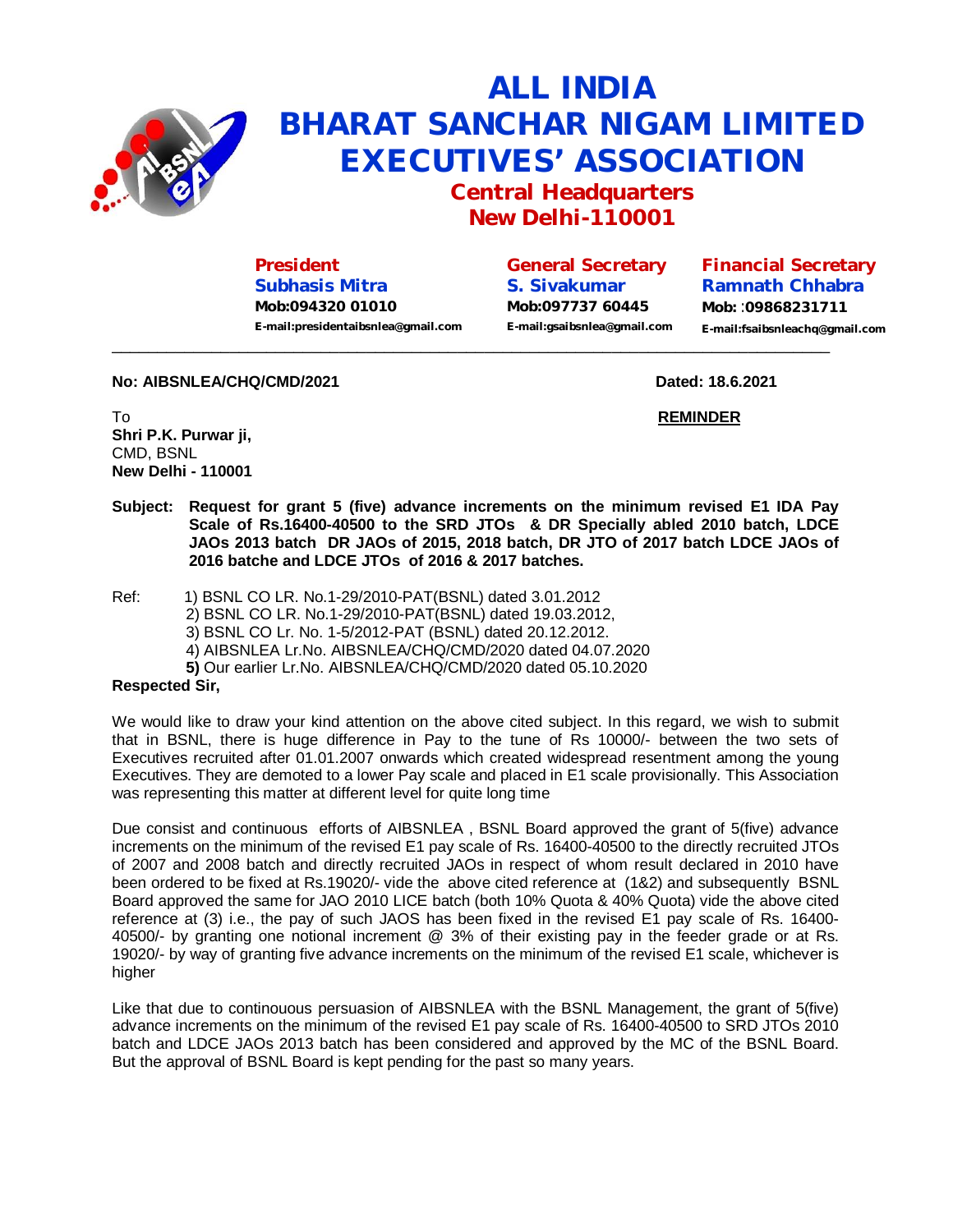

## **ALL INDIA BHARAT SANCHAR NIGAM LIMITED EXECUTIVES' ASSOCIATION**

**Central Headquarters New Delhi-110001**

**President Subhasis Mitra Mob:094320 01010 [E-mail:presidentaibsnlea@gmail.com](mailto:E-mail:presidentaibsnlea@gmail.com)**

**General Secretary S. Sivakumar Mob:097737 60445 [E-mail:gsaibsnlea@gmail.com](mailto:E-mail:gsaibsnlea@gmail.com)** **Financial Secretary Ramnath Chhabra Mob:** :**09868231711 [E-mail:fsaibsnleachq@gmail.com](mailto:E-mail:fsaibsnleachq@gmail.com)**

## **No: AIBSNLEA/CHQ/CMD/2021 Dated: 18.6.2021**

To **REMINDER Shri P.K. Purwar ji,**  CMD, BSNL **New Delhi - 110001**

**Subject: Request for grant 5 (five) advance increments on the minimum revised E1 IDA Pay Scale of Rs.16400-40500 to the SRD JTOs & DR Specially abled 2010 batch, LDCE JAOs 2013 batch DR JAOs of 2015, 2018 batch, DR JTO of 2017 batch LDCE JAOs of 2016 batche and LDCE JTOs of 2016 & 2017 batches.**

 $\overline{\phantom{a}}$  ,  $\overline{\phantom{a}}$  ,  $\overline{\phantom{a}}$  ,  $\overline{\phantom{a}}$  ,  $\overline{\phantom{a}}$  ,  $\overline{\phantom{a}}$  ,  $\overline{\phantom{a}}$  ,  $\overline{\phantom{a}}$  ,  $\overline{\phantom{a}}$  ,  $\overline{\phantom{a}}$  ,  $\overline{\phantom{a}}$  ,  $\overline{\phantom{a}}$  ,  $\overline{\phantom{a}}$  ,  $\overline{\phantom{a}}$  ,  $\overline{\phantom{a}}$  ,  $\overline{\phantom{a}}$ 

Ref: 1) BSNL CO LR. No.1-29/2010-PAT(BSNL) dated 3.01.2012 2) BSNL CO LR. No.1-29/2010-PAT(BSNL) dated 19.03.2012, 3) BSNL CO Lr. No. 1-5/2012-PAT (BSNL) dated 20.12.2012. 4) AIBSNLEA Lr.No. AIBSNLEA/CHQ/CMD/2020 dated 04.07.2020  **5)** Our earlier Lr.No. AIBSNLEA/CHQ/CMD/2020 dated 05.10.2020

## **Respected Sir,**

We would like to draw your kind attention on the above cited subject. In this regard, we wish to submit that in BSNL, there is huge difference in Pay to the tune of Rs 10000/- between the two sets of Executives recruited after 01.01.2007 onwards which created widespread resentment among the young Executives. They are demoted to a lower Pay scale and placed in E1 scale provisionally. This Association was representing this matter at different level for quite long time

Due consist and continuous efforts of AIBSNLEA , BSNL Board approved the grant of 5(five) advance increments on the minimum of the revised E1 pay scale of Rs. 16400-40500 to the directly recruited JTOs of 2007 and 2008 batch and directly recruited JAOs in respect of whom result declared in 2010 have been ordered to be fixed at Rs.19020/- vide the above cited reference at (1&2) and subsequently BSNL Board approved the same for JAO 2010 LICE batch (both 10% Quota & 40% Quota) vide the above cited reference at (3) i.e., the pay of such JAOS has been fixed in the revised E1 pay scale of Rs. 16400- 40500/- by granting one notional increment @ 3% of their existing pay in the feeder grade or at Rs. 19020/- by way of granting five advance increments on the minimum of the revised E1 scale, whichever is higher

Like that due to continouous persuasion of AIBSNLEA with the BSNL Management, the grant of 5(five) advance increments on the minimum of the revised E1 pay scale of Rs. 16400-40500 to SRD JTOs 2010 batch and LDCE JAOs 2013 batch has been considered and approved by the MC of the BSNL Board. But the approval of BSNL Board is kept pending for the past so many years.